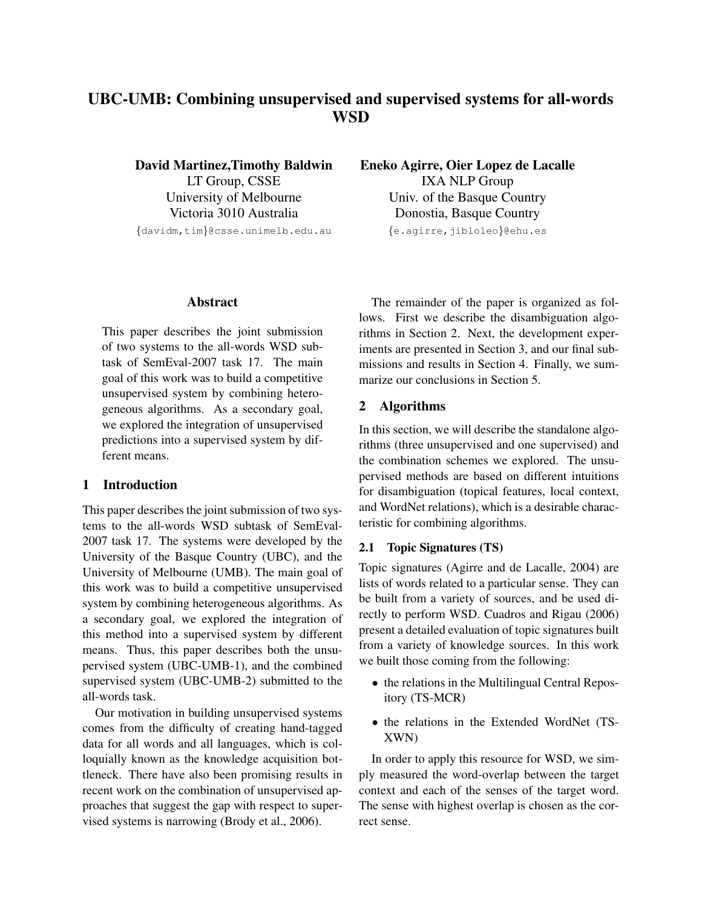# UBC-UMB: Combining unsupervised and supervised systems for all-words **WSD**

David Martinez,Timothy Baldwin LT Group, CSSE University of Melbourne Victoria 3010 Australia *{*davidm,tim*}*@csse.unimelb.edu.au

## Abstract

This paper describes the joint submission of two systems to the all-words WSD subtask of SemEval-2007 task 17. The main goal of this work was to build a competitive unsupervised system by combining heterogeneous algorithms. As a secondary goal, we explored the integration of unsupervised predictions into a supervised system by different means.

# 1 Introduction

This paper describes the joint submission of two systems to the all-words WSD subtask of SemEval-2007 task 17. The systems were developed by the University of the Basque Country (UBC), and the University of Melbourne (UMB). The main goal of this work was to build a competitive unsupervised system by combining heterogeneous algorithms. As a secondary goal, we explored the integration of this method into a supervised system by different means. Thus, this paper describes both the unsupervised system (UBC-UMB-1), and the combined supervised system (UBC-UMB-2) submitted to the all-words task.

Our motivation in building unsupervised systems comes from the difficulty of creating hand-tagged data for all words and all languages, which is colloquially known as the knowledge acquisition bottleneck. There have also been promising results in recent work on the combination of unsupervised approaches that suggest the gap with respect to supervised systems is narrowing (Brody et al., 2006).

Eneko Agirre, Oier Lopez de Lacalle IXA NLP Group Univ. of the Basque Country Donostia, Basque Country *{*e.agirre,jibloleo*}*@ehu.es

The remainder of the paper is organized as follows. First we describe the disambiguation algorithms in Section 2. Next, the development experiments are presented in Section 3, and our final submissions and results in Section 4. Finally, we summarize our conclusions in Section 5.

# 2 Algorithms

In this section, we will describe the standalone algorithms (three unsupervised and one supervised) and the combination schemes we explored. The unsupervised methods are based on different intuitions for disambiguation (topical features, local context, and WordNet relations), which is a desirable characteristic for combining algorithms.

## 2.1 Topic Signatures (TS)

Topic signatures (Agirre and de Lacalle, 2004) are lists of words related to a particular sense. They can be built from a variety of sources, and be used directly to perform WSD. Cuadros and Rigau (2006) present a detailed evaluation of topic signatures built from a variety of knowledge sources. In this work we built those coming from the following:

- the relations in the Multilingual Central Repository (TS-MCR)
- *•* the relations in the Extended WordNet (TS-XWN)

In order to apply this resource for WSD, we simply measured the word-overlap between the target context and each of the senses of the target word. The sense with highest overlap is chosen as the correct sense.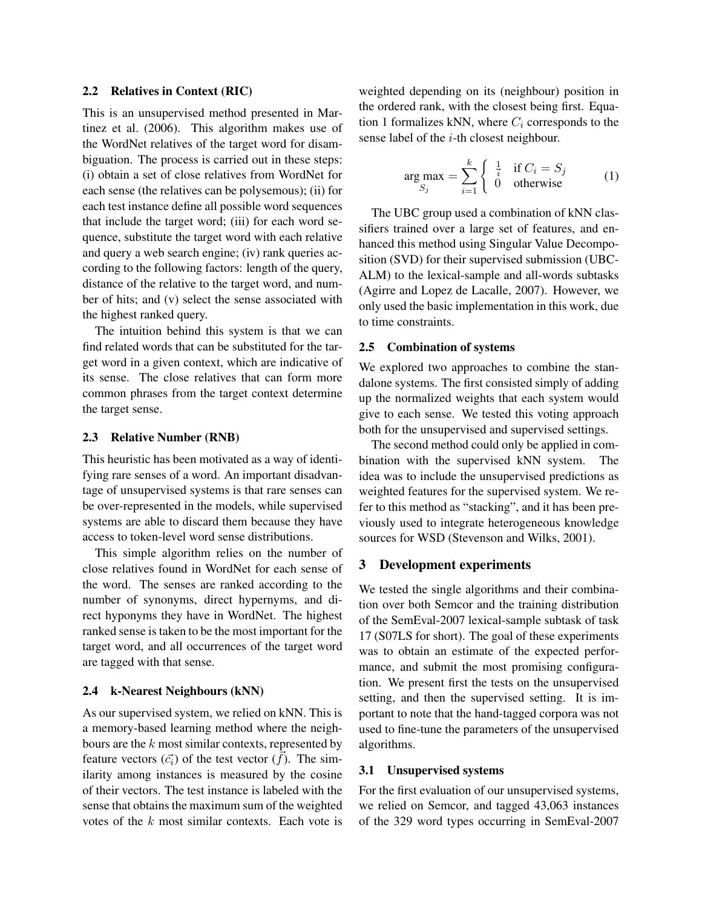## 2.2 Relatives in Context (RIC)

This is an unsupervised method presented in Martinez et al. (2006). This algorithm makes use of the WordNet relatives of the target word for disambiguation. The process is carried out in these steps: (i) obtain a set of close relatives from WordNet for each sense (the relatives can be polysemous); (ii) for each test instance define all possible word sequences that include the target word; (iii) for each word sequence, substitute the target word with each relative and query a web search engine; (iv) rank queries according to the following factors: length of the query, distance of the relative to the target word, and number of hits; and (v) select the sense associated with the highest ranked query.

The intuition behind this system is that we can find related words that can be substituted for the target word in a given context, which are indicative of its sense. The close relatives that can form more common phrases from the target context determine the target sense.

#### 2.3 Relative Number (RNB)

This heuristic has been motivated as a way of identifying rare senses of a word. An important disadvantage of unsupervised systems is that rare senses can be over-represented in the models, while supervised systems are able to discard them because they have access to token-level word sense distributions.

This simple algorithm relies on the number of close relatives found in WordNet for each sense of the word. The senses are ranked according to the number of synonyms, direct hypernyms, and direct hyponyms they have in WordNet. The highest ranked sense is taken to be the most important for the target word, and all occurrences of the target word are tagged with that sense.

## 2.4 k-Nearest Neighbours (kNN)

As our supervised system, we relied on kNN. This is a memory-based learning method where the neighbours are the *k* most similar contexts, represented by feature vectors  $(\vec{c}_i)$  of the test vector  $(\vec{f})$ . The similarity among instances is measured by the cosine of their vectors. The test instance is labeled with the sense that obtains the maximum sum of the weighted votes of the *k* most similar contexts. Each vote is weighted depending on its (neighbour) position in the ordered rank, with the closest being first. Equation 1 formalizes kNN, where  $C_i$  corresponds to the sense label of the *i*-th closest neighbour.

$$
\arg \max_{S_j} = \sum_{i=1}^k \begin{cases} \frac{1}{i} & \text{if } C_i = S_j \\ 0 & \text{otherwise} \end{cases} \tag{1}
$$

The UBC group used a combination of kNN classifiers trained over a large set of features, and enhanced this method using Singular Value Decomposition (SVD) for their supervised submission (UBC-ALM) to the lexical-sample and all-words subtasks (Agirre and Lopez de Lacalle, 2007). However, we only used the basic implementation in this work, due to time constraints.

## 2.5 Combination of systems

We explored two approaches to combine the standalone systems. The first consisted simply of adding up the normalized weights that each system would give to each sense. We tested this voting approach both for the unsupervised and supervised settings.

The second method could only be applied in combination with the supervised kNN system. The idea was to include the unsupervised predictions as weighted features for the supervised system. We refer to this method as "stacking", and it has been previously used to integrate heterogeneous knowledge sources for WSD (Stevenson and Wilks, 2001).

#### 3 Development experiments

We tested the single algorithms and their combination over both Semcor and the training distribution of the SemEval-2007 lexical-sample subtask of task 17 (S07LS for short). The goal of these experiments was to obtain an estimate of the expected performance, and submit the most promising configuration. We present first the tests on the unsupervised setting, and then the supervised setting. It is important to note that the hand-tagged corpora was not used to fine-tune the parameters of the unsupervised algorithms.

#### 3.1 Unsupervised systems

For the first evaluation of our unsupervised systems, we relied on Semcor, and tagged 43,063 instances of the 329 word types occurring in SemEval-2007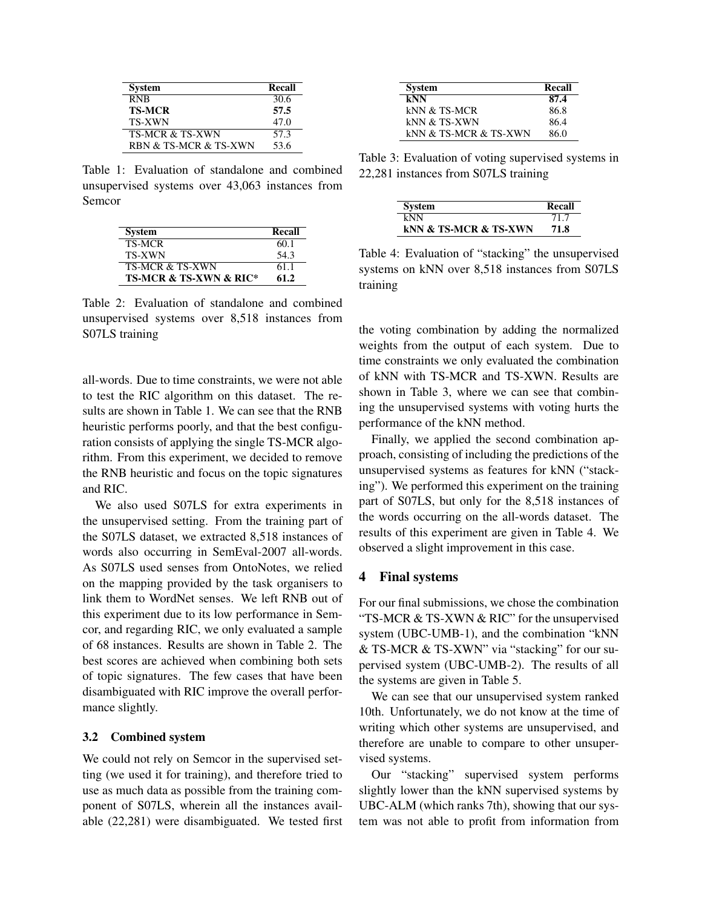| <b>System</b>              | Recall |
|----------------------------|--------|
| <b>RNB</b>                 | 30.6   |
| <b>TS-MCR</b>              | 57.5   |
| <b>TS-XWN</b>              | 47.0   |
| <b>TS-MCR &amp; TS-XWN</b> | 57.3   |
| RBN & TS-MCR & TS-XWN      | 53.6   |

Table 1: Evaluation of standalone and combined unsupervised systems over 43,063 instances from Semcor

| <b>System</b>                         | Recall |
|---------------------------------------|--------|
| <b>TS-MCR</b>                         | 60.1   |
| <b>TS-XWN</b>                         | 54.3   |
| <b>TS-MCR &amp; TS-XWN</b>            | 61.1   |
| <b>TS-MCR &amp; TS-XWN &amp; RIC*</b> | 61.2   |

Table 2: Evaluation of standalone and combined unsupervised systems over 8,518 instances from S07LS training

all-words. Due to time constraints, we were not able to test the RIC algorithm on this dataset. The results are shown in Table 1. We can see that the RNB heuristic performs poorly, and that the best configuration consists of applying the single TS-MCR algorithm. From this experiment, we decided to remove the RNB heuristic and focus on the topic signatures and RIC.

We also used S07LS for extra experiments in the unsupervised setting. From the training part of the S07LS dataset, we extracted 8,518 instances of words also occurring in SemEval-2007 all-words. As S07LS used senses from OntoNotes, we relied on the mapping provided by the task organisers to link them to WordNet senses. We left RNB out of this experiment due to its low performance in Semcor, and regarding RIC, we only evaluated a sample of 68 instances. Results are shown in Table 2. The best scores are achieved when combining both sets of topic signatures. The few cases that have been disambiguated with RIC improve the overall performance slightly.

#### 3.2 Combined system

We could not rely on Semcor in the supervised setting (we used it for training), and therefore tried to use as much data as possible from the training component of S07LS, wherein all the instances available (22,281) were disambiguated. We tested first

| <b>System</b>         | Recall |
|-----------------------|--------|
| kNN                   | 87.4   |
| kNN & TS-MCR          | 86.8   |
| kNN & TS-XWN          | 86.4   |
| kNN & TS-MCR & TS-XWN | 86.0   |

Table 3: Evaluation of voting supervised systems in 22,281 instances from S07LS training

| <b>System</b>                        | Recall |
|--------------------------------------|--------|
| kNN                                  | 71 7   |
| <b>KNN &amp; TS-MCR &amp; TS-XWN</b> | 71.8   |

Table 4: Evaluation of "stacking" the unsupervised systems on kNN over 8,518 instances from S07LS training

the voting combination by adding the normalized weights from the output of each system. Due to time constraints we only evaluated the combination of kNN with TS-MCR and TS-XWN. Results are shown in Table 3, where we can see that combining the unsupervised systems with voting hurts the performance of the kNN method.

Finally, we applied the second combination approach, consisting of including the predictions of the unsupervised systems as features for kNN ("stacking"). We performed this experiment on the training part of S07LS, but only for the 8,518 instances of the words occurring on the all-words dataset. The results of this experiment are given in Table 4. We observed a slight improvement in this case.

## 4 Final systems

For our final submissions, we chose the combination "TS-MCR & TS-XWN & RIC" for the unsupervised system (UBC-UMB-1), and the combination "kNN & TS-MCR & TS-XWN" via "stacking" for our supervised system (UBC-UMB-2). The results of all the systems are given in Table 5.

We can see that our unsupervised system ranked 10th. Unfortunately, we do not know at the time of writing which other systems are unsupervised, and therefore are unable to compare to other unsupervised systems.

Our "stacking" supervised system performs slightly lower than the kNN supervised systems by UBC-ALM (which ranks 7th), showing that our system was not able to profit from information from